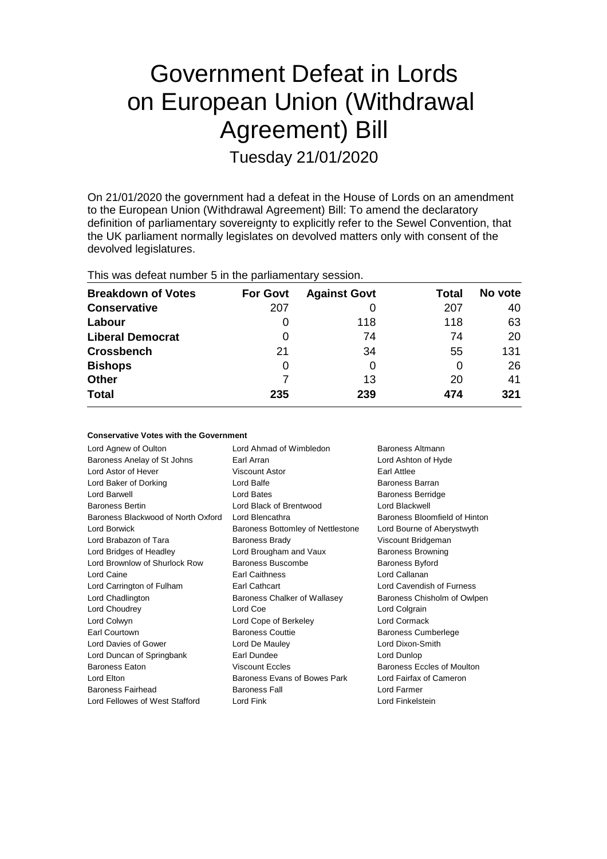# Government Defeat in Lords on European Union (Withdrawal Agreement) Bill

Tuesday 21/01/2020

On 21/01/2020 the government had a defeat in the House of Lords on an amendment to the European Union (Withdrawal Agreement) Bill: To amend the declaratory definition of parliamentary sovereignty to explicitly refer to the Sewel Convention, that the UK parliament normally legislates on devolved matters only with consent of the devolved legislatures.

| This was defeat number 5 in the parliamentary session. |  |  |  |
|--------------------------------------------------------|--|--|--|
|--------------------------------------------------------|--|--|--|

| <b>Breakdown of Votes</b> | <b>For Govt</b> | <b>Against Govt</b> | Total | No vote |
|---------------------------|-----------------|---------------------|-------|---------|
| <b>Conservative</b>       | 207             |                     | 207   | 40      |
| Labour                    | 0               | 118                 | 118   | 63      |
| <b>Liberal Democrat</b>   | 0               | 74                  | 74    | 20      |
| <b>Crossbench</b>         | 21              | 34                  | 55    | 131     |
| <b>Bishops</b>            | 0               |                     | 0     | 26      |
| Other                     | 7               | 13                  | 20    | 41      |
| <b>Total</b>              | 235             | 239                 | 474   | 321     |

| <b>Conservative Votes with the Government</b> |  |
|-----------------------------------------------|--|
|-----------------------------------------------|--|

| Lord Agnew of Oulton               | Lord Ahmad of Wimbledon           | <b>Baroness Altmann</b>       |
|------------------------------------|-----------------------------------|-------------------------------|
| Baroness Anelay of St Johns        | Earl Arran                        | Lord Ashton of Hyde           |
| Lord Astor of Hever                | Viscount Astor                    | Earl Attlee                   |
| Lord Baker of Dorking              | Lord Balfe                        | Baroness Barran               |
| Lord Barwell                       | Lord Bates                        | <b>Baroness Berridge</b>      |
| <b>Baroness Bertin</b>             | Lord Black of Brentwood           | <b>Lord Blackwell</b>         |
| Baroness Blackwood of North Oxford | Lord Blencathra                   | Baroness Bloomfield of Hinton |
| Lord Borwick                       | Baroness Bottomley of Nettlestone | Lord Bourne of Aberystwyth    |
| Lord Brabazon of Tara              | <b>Baroness Brady</b>             | Viscount Bridgeman            |
| Lord Bridges of Headley            | Lord Brougham and Vaux            | <b>Baroness Browning</b>      |
| Lord Brownlow of Shurlock Row      | Baroness Buscombe                 | <b>Baroness Byford</b>        |
| Lord Caine                         | Earl Caithness                    | Lord Callanan                 |
| Lord Carrington of Fulham          | Earl Cathcart                     | Lord Cavendish of Furness     |
| Lord Chadlington                   | Baroness Chalker of Wallasey      | Baroness Chisholm of Owlpen   |
| Lord Choudrey                      | Lord Coe                          | Lord Colgrain                 |
| Lord Colwyn                        | Lord Cope of Berkeley             | Lord Cormack                  |
| Earl Courtown                      | <b>Baroness Couttie</b>           | <b>Baroness Cumberlege</b>    |
| Lord Davies of Gower               | Lord De Mauley                    | Lord Dixon-Smith              |
| Lord Duncan of Springbank          | Earl Dundee                       | Lord Dunlop                   |
| <b>Baroness Eaton</b>              | <b>Viscount Eccles</b>            | Baroness Eccles of Moulton    |
| Lord Elton                         | Baroness Evans of Bowes Park      | Lord Fairfax of Cameron       |
| Baroness Fairhead                  | <b>Baroness Fall</b>              | Lord Farmer                   |
| Lord Fellowes of West Stafford     | Lord Fink                         | Lord Finkelstein              |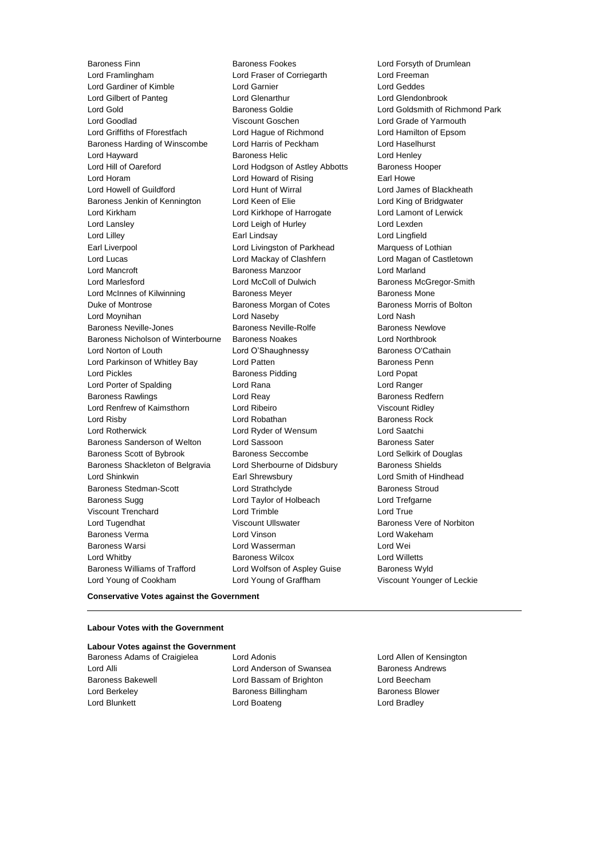Baroness Finn **Baroness Fookes** Exercise Contess Fookes Lord Forsyth of Drumlean<br>
Baroness Fookes Lord Forsyth Corriedanth<br>
Lord Freeman Lord Framlingham **Lord Fraser of Corriegarth** Lord Gardiner of Kimble Lord Garnier Lord Geddes Lord Gilbert of Panteg Lord Glenarthur Lord Glendonbrook Lord Gold Baroness Goldie Lord Goldsmith of Richmond Park Lord Goodlad Viscount Goschen Lord Grade of Yarmouth Lord Griffiths of Fforestfach Lord Hague of Richmond Lord Hamilton of Epsom Baroness Harding of Winscombe Lord Harris of Peckham Lord Haselhurst **Lord Hayward Communist Communist Baroness Helic Communist Communist Communist Communist Communist Communist Co** Lord Hill of Oareford Lord Hodgson of Astley Abbotts Baroness Hooper Lord Horam **Lord Howard of Rising** Earl Howe Lord Howell of Guildford Lord Hunt of Wirral Lord James of Blackheath Baroness Jenkin of Kennington Lord Keen of Elie Lord King of Bridgwater<br>
Lord Kirkham Lord Kirkhope of Harrogate Lord Lamont of Lerwick Lord Lansley Lord Leigh of Hurley Lord Lexden Lord Lilley Earl Lindsay Lord Lingfield Earl Liverpool Lord Livingston of Parkhead Marquess of Lothian Lord Lucas Lord Mackay of Clashfern Lord Magan of Castletown Lord Mancroft Baroness Manzoor Lord Marland Lord Marlesford **Lord McColl of Dulwich** Baroness McGregor-Smith Lord McInnes of Kilwinning **Baroness Meyer** Baroness Mone Duke of Montrose Baroness Morgan of Cotes Baroness Morris of Bolton Lord Moynihan Lord Naseby Lord Nash Baroness Neville-Jones **Baroness Neville-Rolfe** Baroness Newlove Baroness Nicholson of Winterbourne Baroness Noakes Lord Northbrook Lord Norton of Louth Lord O'Shaughnessy Baroness O'Cathain Lord Parkinson of Whitley Bay **Lord Patten** Baroness Penn Lord Pickles Baroness Pidding Lord Popat Lord Porter of Spalding Lord Rana Lord Ranger Baroness Rawlings **Baroness Redfern** Lord Reay **Baroness Redfern** Lord Renfrew of Kaimsthorn **Lord Ribeiro** Communisty Construction Viscount Ridley **Lord Risby Communist Communist Lord Robathan Communist Communist Communist Communist Communist Communist Communist Communist Communist Communist Communist Communist Communist Communist Communist Communist Communist Commun** Lord Rotherwick Lord Ryder of Wensum Lord Saatchi Baroness Sanderson of Welton Lord Sassoon<br>
Baroness Scott of Bybrook Baroness Seccombe<br>
Lord Selkirk of Douglas Baroness Scott of Bybrook Baroness Seccombe Baroness Shackleton of Belgravia Lord Sherbourne of Didsbury Baroness Shields Lord Shinkwin Earl Shrewsbury Lord Smith of Hindhead Baroness Stedman-Scott Lord Strathclyde Caroness Stroud<br>Baroness Sugg Caroness Stroud Lord Taylor of Holbeach Lord Trefgarne Viscount Trenchard Lord Trimble Lord True Lord Tugendhat **Communist Communist Communist Communist Communist Communist Communist Communist Communist Communist Communist Communist Communist Communist Communist Communist Communist Communist Communist Communist Commun** Baroness Verma Lord Vinson Lord Wakeham Baroness Warsi Lord Wasserman Lord Wei Lord Whitby Baroness Wilcox Lord Willetts Baroness Williams of Trafford Lord Wolfson of Aspley Guise Baroness Wyld Lord Young of Cookham Lord Young of Graffham Viscount Younger of Leckie

Lord Kirkhope of Harrogate Lord Lamont of Lerwick Lord Taylor of Holbeach Lord Trefgarne

#### **Conservative Votes against the Government**

#### **Labour Votes with the Government**

#### **Labour Votes against the Government**

Baroness Adams of Craigielea Lord Adonis Lord Allen of Kensington Lord Alli **Lord Anderson of Swansea** Baroness Andrews Baroness Bakewell Lord Bassam of Brighton Lord Beecham Lord Berkeley **Baroness Billingham** Baroness Blower Lord Blunkett **Lord Boateng** Lord Boateng **Lord Bradley**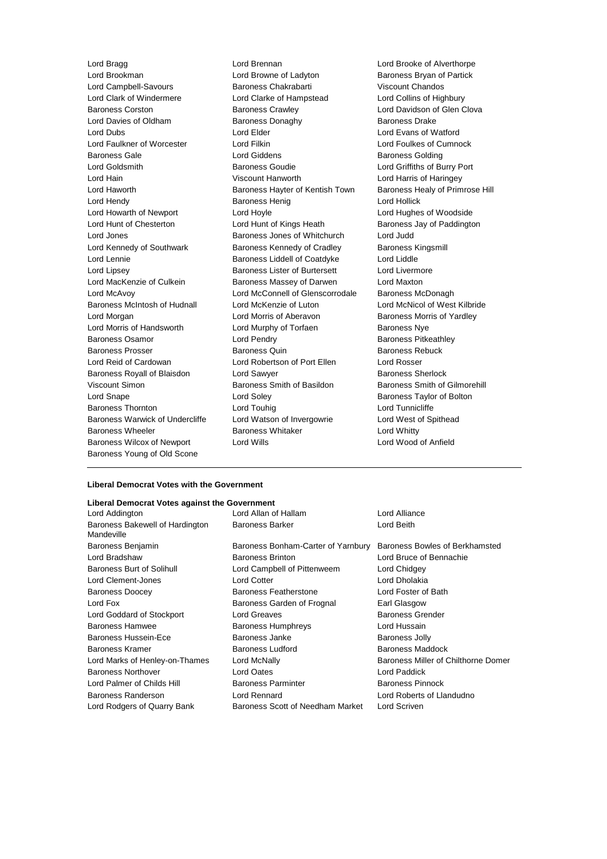Lord Brookman **Lord Browne of Ladyton** Baroness Bryan of Partick Lord Campbell-Savours Baroness Chakrabarti Viscount Chandos Lord Clark of Windermere Lord Clarke of Hampstead Lord Collins of Highbury Baroness Corston Baroness Crawley Lord Davidson of Glen Clova Lord Davies of Oldham Baroness Donaghy Baroness Davies Davies Drake Lord Dubs Lord Elder Lord Evans of Watford Lord Faulkner of Worcester Lord Filkin Lord Foulkes of Cumnock **Baroness Gale Baroness Golding Lord Giddens Baroness Golding Baroness Golding** Lord Goldsmith Baroness Goudie Lord Griffiths of Burry Port Lord Hain Viscount Hanworth Lord Harris of Haringey Lord Haworth **Baroness Hayter of Kentish Town** Baroness Healy of Primrose Hill Lord Hendy Baroness Henig Lord Hollick Lord Howarth of Newport Lord Hoyle Lord Hughes of Woodside Lord Hunt of Chesterton **Lord Hunt of Kings Heath** Baroness Jay of Paddington Lord Jones **Baroness Jones of Whitchurch** Lord Judd Lord Kennedy of Southwark Baroness Kennedy of Cradley Baroness Kingsmill Lord Lennie Baroness Liddell of Coatdyke Lord Liddle Lord Lipsey **Baroness Lister of Burtersett** Lord Livermore Lord MacKenzie of Culkein **Baroness Massey of Darwen** Lord Maxton Lord McAvoy **Lord McConnell of Glenscorrodale** Baroness McDonagh Baroness McIntosh of Hudnall Lord McKenzie of Luton Lord McNicol of West Kilbride Lord Morgan **Lord Morris of Aberavon** Baroness Morris of Yardley Lord Morris of Handsworth **Lord Murphy of Torfaen** Baroness Nye Baroness Osamor **Example 2** Lord Pendry **Constrainers** Baroness Pitkeathley Baroness Prosser Baroness Quin Baroness Rebuck Lord Reid of Cardowan **Lord Robertson of Port Ellen** Lord Rosser<br>
Baroness Rovall of Blaisdon Lord Sawver **Lord Robert Baroness Sherlock** Baroness Royall of Blaisdon Lord Sawyer Viscount Simon Baroness Smith of Basildon Baroness Smith of Gilmorehill Lord Snape **Lord Soley Lord Soley Baroness Taylor of Bolton** Baroness Thornton **Lord Touhig** Lord Tunnicliffe Baroness Warwick of Undercliffe Lord Watson of Invergowrie Lord West of Spithead Baroness Wheeler **Baroness Whitaker Baroness Whitaker Lord Whitty** Baroness Wilcox of Newport Lord Wills Lord Wood of Anfield Baroness Young of Old Scone

Lord Bragg Lord Brennan Lord Brooke of Alverthorpe

#### **Liberal Democrat Votes with the Government**

#### **Liberal Democrat Votes against the Government**

| Lord Addington                                | Lord Allan of Hallam               | Lord Alliance                       |
|-----------------------------------------------|------------------------------------|-------------------------------------|
| Baroness Bakewell of Hardington<br>Mandeville | <b>Baroness Barker</b>             | Lord Beith                          |
| Baroness Benjamin                             | Baroness Bonham-Carter of Yarnbury | Baroness Bowles of Berkhamsted      |
| Lord Bradshaw                                 | <b>Baroness Brinton</b>            | Lord Bruce of Bennachie             |
| <b>Baroness Burt of Solihull</b>              | Lord Campbell of Pittenweem        | Lord Chidgey                        |
| Lord Clement-Jones                            | Lord Cotter                        | Lord Dholakia                       |
| <b>Baroness Doocey</b>                        | Baroness Featherstone              | Lord Foster of Bath                 |
| Lord Fox                                      | Baroness Garden of Frognal         | Earl Glasgow                        |
| Lord Goddard of Stockport                     | Lord Greaves                       | Baroness Grender                    |
| Baroness Hamwee                               | Baroness Humphreys                 | Lord Hussain                        |
| <b>Baroness Hussein-Ece</b>                   | Baroness Janke                     | <b>Baroness Jolly</b>               |
| Baroness Kramer                               | <b>Baroness Ludford</b>            | Baroness Maddock                    |
| Lord Marks of Henley-on-Thames                | Lord McNally                       | Baroness Miller of Chilthorne Domer |
| Baroness Northover                            | Lord Oates                         | Lord Paddick                        |
| Lord Palmer of Childs Hill                    | <b>Baroness Parminter</b>          | <b>Baroness Pinnock</b>             |
| <b>Baroness Randerson</b>                     | Lord Rennard                       | Lord Roberts of Llandudno           |
| Lord Rodgers of Quarry Bank                   | Baroness Scott of Needham Market   | Lord Scriven                        |
|                                               |                                    |                                     |